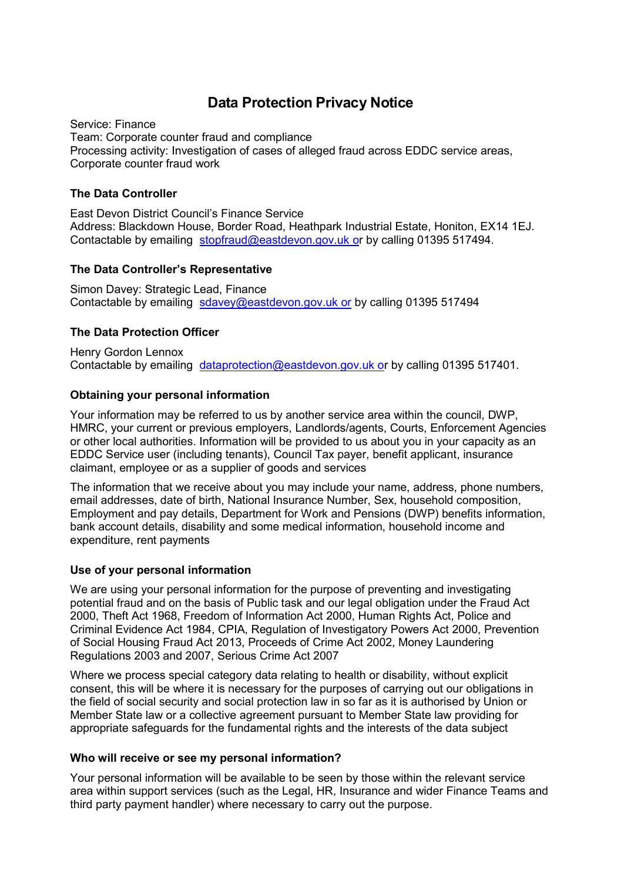# **Data Protection Privacy Notice**

Service: Finance Team: Corporate counter fraud and compliance Processing activity: Investigation of cases of alleged fraud across EDDC service areas, Corporate counter fraud work

## **The Data Controller**

East Devon District Council's Finance Service Address: Blackdown House, Border Road, Heathpark Industrial Estate, Honiton, EX14 1EJ. Contactable by emailing [stopfraud@eastdevon.gov.uk or](mailto:stopfraud@eastdevon.gov.uk) by calling 01395 517494.

## **The Data Controller's Representative**

Simon Davey: Strategic Lead, Finance Contactable by emailing [sdavey@eastdevon.gov.uk or](mailto:sdavey@eastdevon.gov.uk) by calling 01395 517494

## **The Data Protection Officer**

Henry Gordon Lennox Contactable by emailing [dataprotection@eastdevon.gov.uk or](mailto:dataprotection@eastdevon.gov.uk) by calling 01395 517401.

## **Obtaining your personal information**

Your information may be referred to us by another service area within the council, DWP, HMRC, your current or previous employers, Landlords/agents, Courts, Enforcement Agencies or other local authorities. Information will be provided to us about you in your capacity as an EDDC Service user (including tenants), Council Tax payer, benefit applicant, insurance claimant, employee or as a supplier of goods and services

The information that we receive about you may include your name, address, phone numbers, email addresses, date of birth, National Insurance Number, Sex, household composition, Employment and pay details, Department for Work and Pensions (DWP) benefits information, bank account details, disability and some medical information, household income and expenditure, rent payments

### **Use of your personal information**

We are using your personal information for the purpose of preventing and investigating potential fraud and on the basis of Public task and our legal obligation under the Fraud Act 2000, Theft Act 1968, Freedom of Information Act 2000, Human Rights Act, Police and Criminal Evidence Act 1984, CPIA, Regulation of Investigatory Powers Act 2000, Prevention of Social Housing Fraud Act 2013, Proceeds of Crime Act 2002, Money Laundering Regulations 2003 and 2007, Serious Crime Act 2007

Where we process special category data relating to health or disability, without explicit consent, this will be where it is necessary for the purposes of carrying out our obligations in the field of social security and social protection law in so far as it is authorised by Union or Member State law or a collective agreement pursuant to Member State law providing for appropriate safeguards for the fundamental rights and the interests of the data subject

### **Who will receive or see my personal information?**

Your personal information will be available to be seen by those within the relevant service area within support services (such as the Legal, HR, Insurance and wider Finance Teams and third party payment handler) where necessary to carry out the purpose.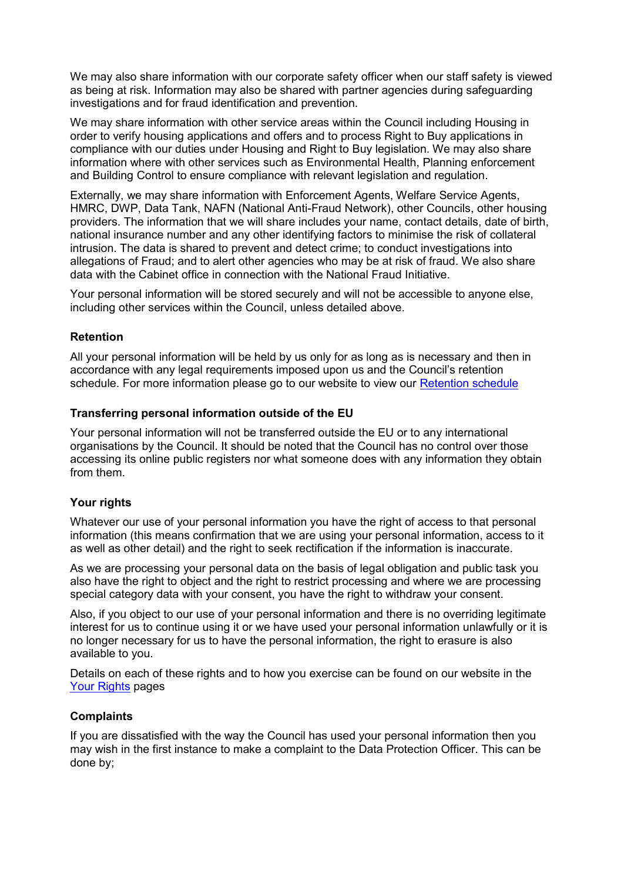We may also share information with our corporate safety officer when our staff safety is viewed as being at risk. Information may also be shared with partner agencies during safeguarding investigations and for fraud identification and prevention.

We may share information with other service areas within the Council including Housing in order to verify housing applications and offers and to process Right to Buy applications in compliance with our duties under Housing and Right to Buy legislation. We may also share information where with other services such as Environmental Health, Planning enforcement and Building Control to ensure compliance with relevant legislation and regulation.

Externally, we may share information with Enforcement Agents, Welfare Service Agents, HMRC, DWP, Data Tank, NAFN (National Anti-Fraud Network), other Councils, other housing providers. The information that we will share includes your name, contact details, date of birth, national insurance number and any other identifying factors to minimise the risk of collateral intrusion. The data is shared to prevent and detect crime; to conduct investigations into allegations of Fraud; and to alert other agencies who may be at risk of fraud. We also share data with the Cabinet office in connection with the National Fraud Initiative.

Your personal information will be stored securely and will not be accessible to anyone else, including other services within the Council, unless detailed above.

### **Retention**

All your personal information will be held by us only for as long as is necessary and then in accordance with any legal requirements imposed upon us and the Council's retention schedule. For more information please go to our website to view our [Retention schedule](http://eastdevon.gov.uk/access-to-information/data-protection/document-retention-schedules/)

#### **Transferring personal information outside of the EU**

Your personal information will not be transferred outside the EU or to any international organisations by the Council. It should be noted that the Council has no control over those accessing its online public registers nor what someone does with any information they obtain from them.

### **Your rights**

Whatever our use of your personal information you have the right of access to that personal information (this means confirmation that we are using your personal information, access to it as well as other detail) and the right to seek rectification if the information is inaccurate.

As we are processing your personal data on the basis of legal obligation and public task you also have the right to object and the right to restrict processing and where we are processing special category data with your consent, you have the right to withdraw your consent.

Also, if you object to our use of your personal information and there is no overriding legitimate interest for us to continue using it or we have used your personal information unlawfully or it is no longer necessary for us to have the personal information, the right to erasure is also available to you.

Details on each of these rights and to how you exercise can be found on our website in the [Your Rights](https://eastdevon.gov.uk/access-to-information/data-protection/data-protection-information/your-rights/) pages

#### **Complaints**

If you are dissatisfied with the way the Council has used your personal information then you may wish in the first instance to make a complaint to the Data Protection Officer. This can be done by;